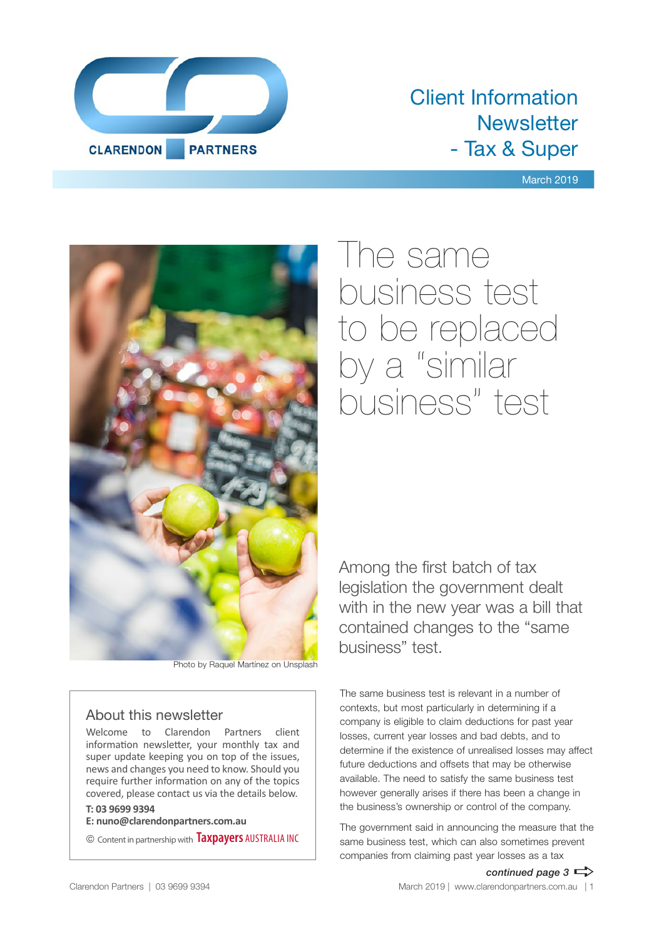

### Client Information **Newsletter** - Tax & Super

March 2019



Photo by Raquel Martínez on Unsplash

### About this newsletter

Welcome to Clarendon Partners client information newsletter, your monthly tax and super update keeping you on top of the issues, news and changes you need to know. Should you require further information on any of the topics covered, please contact us via the details below.

### **T: 03 9699 9394**

**E: nuno@clarendonpartners.com.au**

© Content in partnership with **Taxpayers** AUSTRALIA INC

The same business test to be replaced by a "similar business" test

Among the first batch of tax legislation the government dealt with in the new year was a bill that contained changes to the "same business" test.

The same business test is relevant in a number of contexts, but most particularly in determining if a company is eligible to claim deductions for past year losses, current year losses and bad debts, and to determine if the existence of unrealised losses may affect future deductions and offsets that may be otherwise available. The need to satisfy the same business test however generally arises if there has been a change in the business's ownership or control of the company.

The government said in announcing the measure that the same business test, which can also sometimes prevent companies from claiming past year losses as a tax

*continued page 3*  $\Rightarrow$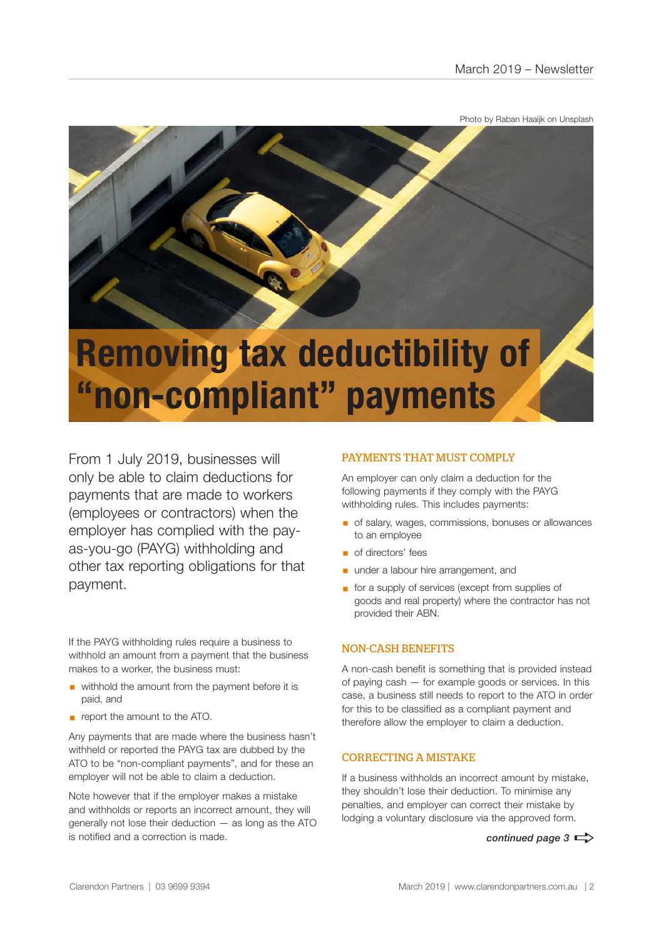Photo by Raban Haaijk on Unsplash



# **"non-compliant" payments**

From 1 July 2019, businesses will only be able to claim deductions for payments that are made to workers (employees or contractors) when the employer has complied with the payas-you-go (PAYG) withholding and other tax reporting obligations for that payment.

If the PAYG withholding rules require a business to withhold an amount from a payment that the business makes to a worker, the business must:

- withhold the amount from the payment before it is paid, and
- **•** report the amount to the ATO.

Any payments that are made where the business hasn't withheld or reported the PAYG tax are dubbed by the ATO to be "non-compliant payments", and for these an employer will not be able to claim a deduction.

Note however that if the employer makes a mistake and withholds or reports an incorrect amount, they will generally not lose their deduction — as long as the ATO is notified and a correction is made.

### PAYMENTS THAT MUST COMPLY

An employer can only claim a deduction for the following payments if they comply with the PAYG withholding rules. This includes payments:

- of salary, wages, commissions, bonuses or allowances to an employee
- of directors' fees
- **■** under a labour hire arrangement, and
- for a supply of services (except from supplies of goods and real property) where the contractor has not provided their ABN.

### NON-CASH BENEFITS

A non-cash benefit is something that is provided instead of paying cash — for example goods or services. In this case, a business still needs to report to the ATO in order for this to be classified as a compliant payment and therefore allow the employer to claim a deduction.

### CORRECTING A MISTAKE

If a business withholds an incorrect amount by mistake, they shouldn't lose their deduction. To minimise any penalties, and employer can correct their mistake by lodging a voluntary disclosure via the approved form.

*continued page 3*  $\Rightarrow$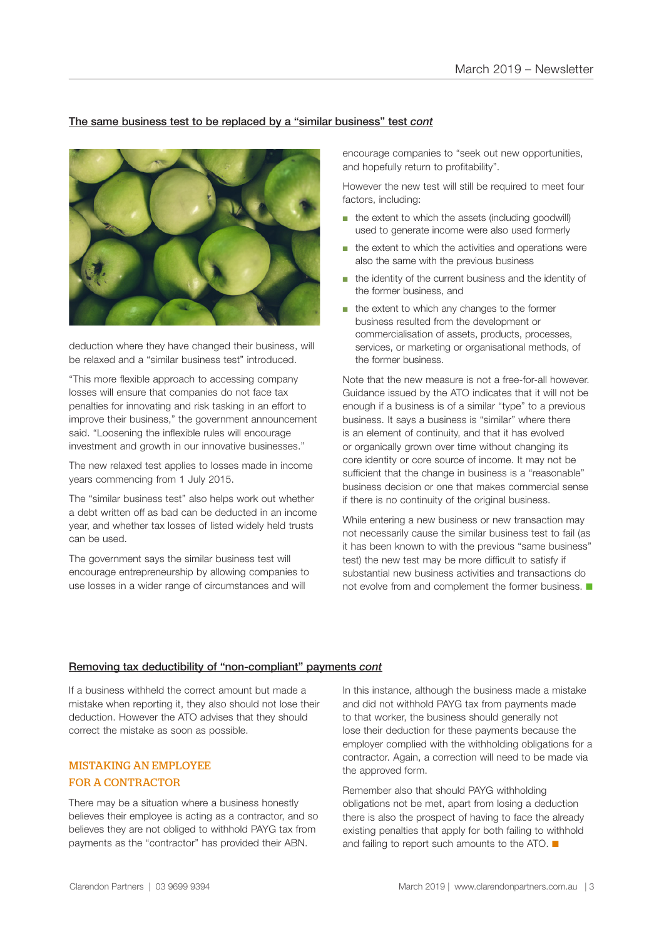### The same business test to be replaced by a "similar business" test *cont*



deduction where they have changed their business, will be relaxed and a "similar business test" introduced.

"This more flexible approach to accessing company losses will ensure that companies do not face tax penalties for innovating and risk tasking in an effort to improve their business," the government announcement said. "Loosening the inflexible rules will encourage investment and growth in our innovative businesses."

The new relaxed test applies to losses made in income years commencing from 1 July 2015.

The "similar business test" also helps work out whether a debt written off as bad can be deducted in an income year, and whether tax losses of listed widely held trusts can be used.

The government says the similar business test will encourage entrepreneurship by allowing companies to use losses in a wider range of circumstances and will

encourage companies to "seek out new opportunities, and hopefully return to profitability".

However the new test will still be required to meet four factors, including:

- the extent to which the assets (including goodwill) used to generate income were also used formerly
- the extent to which the activities and operations were also the same with the previous business
- the identity of the current business and the identity of the former business, and
- the extent to which any changes to the former business resulted from the development or commercialisation of assets, products, processes, services, or marketing or organisational methods, of the former business.

Note that the new measure is not a free-for-all however. Guidance issued by the ATO indicates that it will not be enough if a business is of a similar "type" to a previous business. It says a business is "similar" where there is an element of continuity, and that it has evolved or organically grown over time without changing its core identity or core source of income. It may not be sufficient that the change in business is a "reasonable" business decision or one that makes commercial sense if there is no continuity of the original business.

While entering a new business or new transaction may not necessarily cause the similar business test to fail (as it has been known to with the previous "same business" test) the new test may be more difficult to satisfy if substantial new business activities and transactions do not evolve from and complement the former business.  $\blacksquare$ 

#### Removing tax deductibility of "non-compliant" payments *cont*

If a business withheld the correct amount but made a mistake when reporting it, they also should not lose their deduction. However the ATO advises that they should correct the mistake as soon as possible.

### MISTAKING AN EMPLOYEE FOR A CONTRACTOR

There may be a situation where a business honestly believes their employee is acting as a contractor, and so believes they are not obliged to withhold PAYG tax from payments as the "contractor" has provided their ABN.

In this instance, although the business made a mistake and did not withhold PAYG tax from payments made to that worker, the business should generally not lose their deduction for these payments because the employer complied with the withholding obligations for a contractor. Again, a correction will need to be made via the approved form.

Remember also that should PAYG withholding obligations not be met, apart from losing a deduction there is also the prospect of having to face the already existing penalties that apply for both failing to withhold and failing to report such amounts to the ATO.  $\blacksquare$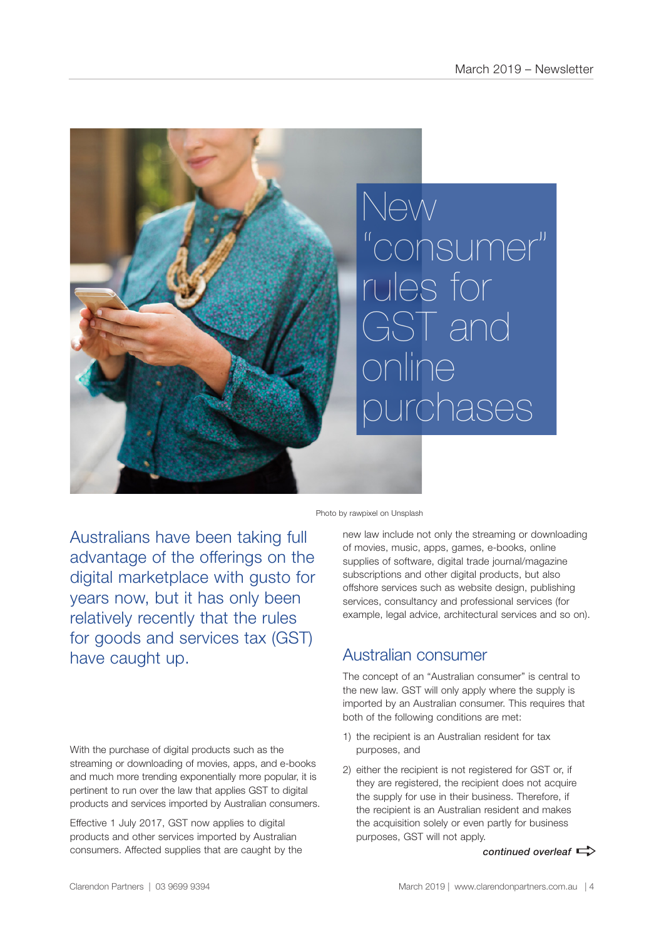

Photo by rawpixel on Unsplash

Australians have been taking full advantage of the offerings on the digital marketplace with gusto for years now, but it has only been relatively recently that the rules for goods and services tax (GST) have caught up.

With the purchase of digital products such as the streaming or downloading of movies, apps, and e-books and much more trending exponentially more popular, it is pertinent to run over the law that applies GST to digital products and services imported by Australian consumers.

Effective 1 July 2017, GST now applies to digital products and other services imported by Australian consumers. Affected supplies that are caught by the new law include not only the streaming or downloading of movies, music, apps, games, e-books, online supplies of software, digital trade journal/magazine subscriptions and other digital products, but also offshore services such as website design, publishing services, consultancy and professional services (for example, legal advice, architectural services and so on).

### Australian consumer

The concept of an "Australian consumer" is central to the new law. GST will only apply where the supply is imported by an Australian consumer. This requires that both of the following conditions are met:

- 1) the recipient is an Australian resident for tax purposes, and
- 2) either the recipient is not registered for GST or, if they are registered, the recipient does not acquire the supply for use in their business. Therefore, if the recipient is an Australian resident and makes the acquisition solely or even partly for business purposes, GST will not apply.

*continued overleaf*  $\Rightarrow$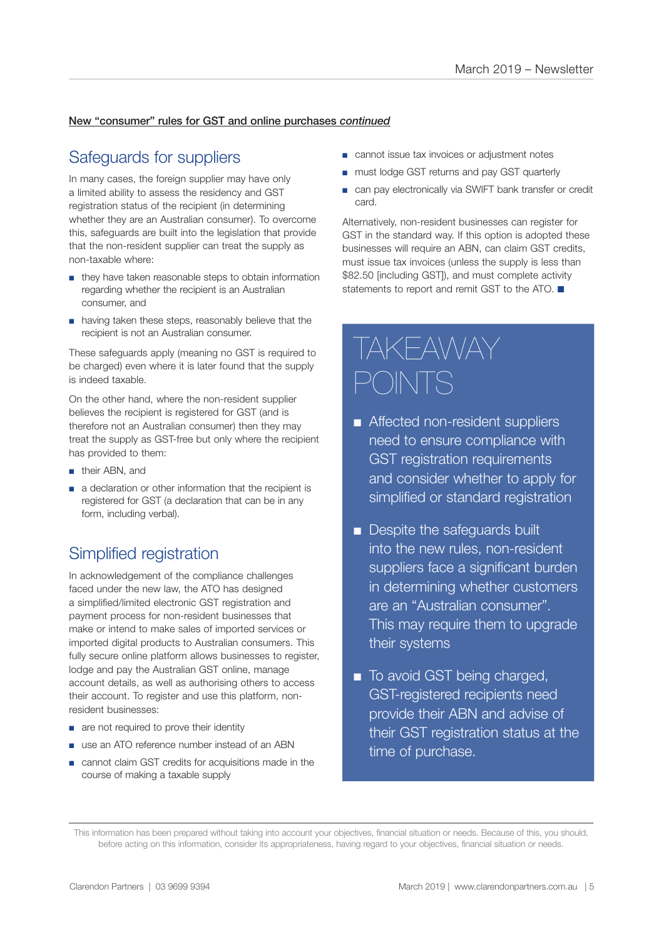### New "consumer" rules for GST and online purchases *continued*

### Safeguards for suppliers

In many cases, the foreign supplier may have only a limited ability to assess the residency and GST registration status of the recipient (in determining whether they are an Australian consumer). To overcome this, safeguards are built into the legislation that provide that the non-resident supplier can treat the supply as non-taxable where:

- they have taken reasonable steps to obtain information regarding whether the recipient is an Australian consumer, and
- having taken these steps, reasonably believe that the recipient is not an Australian consumer.

These safeguards apply (meaning no GST is required to be charged) even where it is later found that the supply is indeed taxable.

On the other hand, where the non-resident supplier believes the recipient is registered for GST (and is therefore not an Australian consumer) then they may treat the supply as GST-free but only where the recipient has provided to them:

- their ABN, and
- a declaration or other information that the recipient is registered for GST (a declaration that can be in any form, including verbal).

### Simplified registration

In acknowledgement of the compliance challenges faced under the new law, the ATO has designed a simplified/limited electronic GST registration and payment process for non-resident businesses that make or intend to make sales of imported services or imported digital products to Australian consumers. This fully secure online platform allows businesses to register, lodge and pay the Australian GST online, manage account details, as well as authorising others to access their account. To register and use this platform, nonresident businesses:

- are not required to prove their identity
- use an ATO reference number instead of an ABN
- cannot claim GST credits for acquisitions made in the course of making a taxable supply
- cannot issue tax invoices or adjustment notes
- must lodge GST returns and pay GST quarterly
- can pay electronically via SWIFT bank transfer or credit card.

Alternatively, non-resident businesses can register for GST in the standard way. If this option is adopted these businesses will require an ABN, can claim GST credits, must issue tax invoices (unless the supply is less than \$82.50 [including GST]), and must complete activity statements to report and remit GST to the ATO.  $\blacksquare$ 

## TAKEAWAY POINTS

- Affected non-resident suppliers need to ensure compliance with GST registration requirements and consider whether to apply for simplified or standard registration
- **n** Despite the safeguards built into the new rules, non-resident suppliers face a significant burden in determining whether customers are an "Australian consumer". This may require them to upgrade their systems
- To avoid GST being charged, GST-registered recipients need provide their ABN and advise of their GST registration status at the time of purchase.

This information has been prepared without taking into account your objectives, financial situation or needs. Because of this, you should, before acting on this information, consider its appropriateness, having regard to your objectives, financial situation or needs.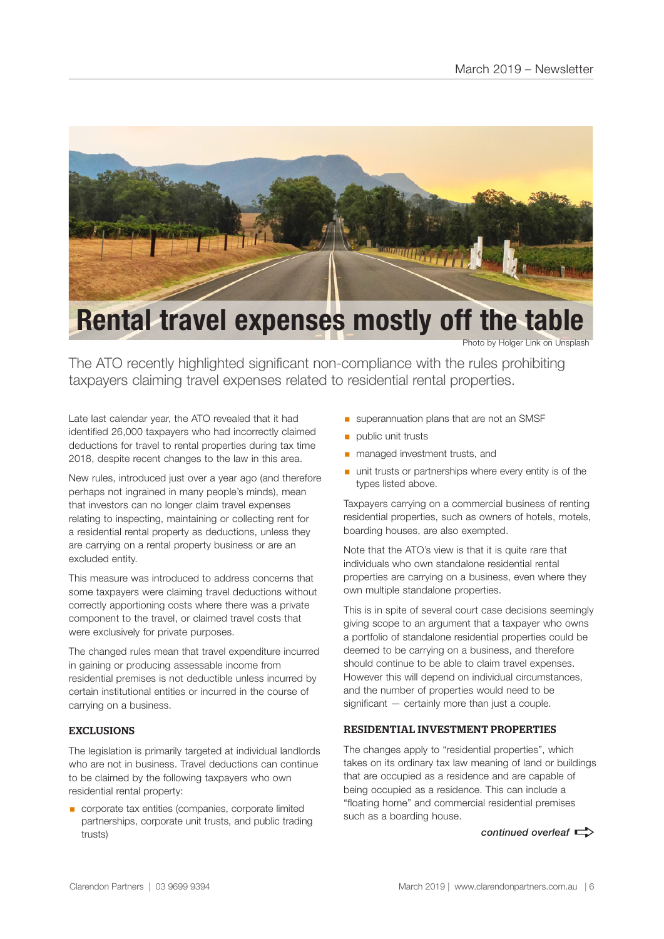

### **Rental travel expenses mostly off the table**

Photo by Holger Link on Unsplash

The ATO recently highlighted significant non-compliance with the rules prohibiting taxpayers claiming travel expenses related to residential rental properties.

Late last calendar year, the ATO revealed that it had identified 26,000 taxpayers who had incorrectly claimed deductions for travel to rental properties during tax time 2018, despite recent changes to the law in this area.

New rules, introduced just over a year ago (and therefore perhaps not ingrained in many people's minds), mean that investors can no longer claim travel expenses relating to inspecting, maintaining or collecting rent for a residential rental property as deductions, unless they are carrying on a rental property business or are an excluded entity.

This measure was introduced to address concerns that some taxpayers were claiming travel deductions without correctly apportioning costs where there was a private component to the travel, or claimed travel costs that were exclusively for private purposes.

The changed rules mean that travel expenditure incurred in gaining or producing assessable income from residential premises is not deductible unless incurred by certain institutional entities or incurred in the course of carrying on a business.

### EXCLUSIONS

The legislation is primarily targeted at individual landlords who are not in business. Travel deductions can continue to be claimed by the following taxpayers who own residential rental property:

■ corporate tax entities (companies, corporate limited partnerships, corporate unit trusts, and public trading trusts)

- **■** superannuation plans that are not an SMSF
- public unit trusts
- managed investment trusts, and
- unit trusts or partnerships where every entity is of the types listed above.

Taxpayers carrying on a commercial business of renting residential properties, such as owners of hotels, motels, boarding houses, are also exempted.

Note that the ATO's view is that it is quite rare that individuals who own standalone residential rental properties are carrying on a business, even where they own multiple standalone properties.

This is in spite of several court case decisions seemingly giving scope to an argument that a taxpayer who owns a portfolio of standalone residential properties could be deemed to be carrying on a business, and therefore should continue to be able to claim travel expenses. However this will depend on individual circumstances, and the number of properties would need to be significant — certainly more than just a couple.

### RESIDENTIAL INVESTMENT PROPERTIES

The changes apply to "residential properties", which takes on its ordinary tax law meaning of land or buildings that are occupied as a residence and are capable of being occupied as a residence. This can include a "floating home" and commercial residential premises such as a boarding house.

*continued overleaf*  $\Rightarrow$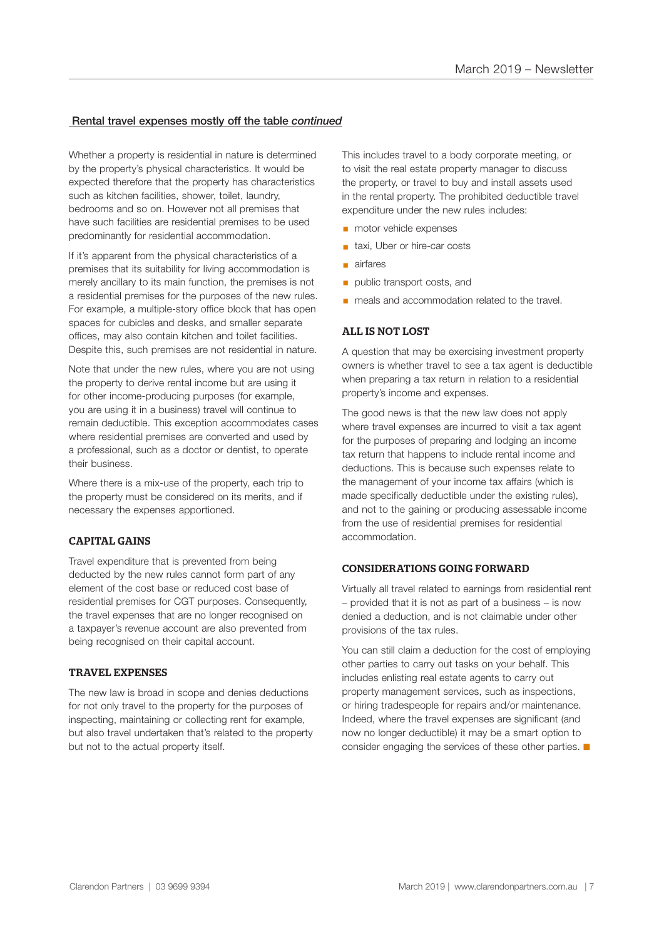### Rental travel expenses mostly off the table *continued*

Whether a property is residential in nature is determined by the property's physical characteristics. It would be expected therefore that the property has characteristics such as kitchen facilities, shower, toilet, laundry, bedrooms and so on. However not all premises that have such facilities are residential premises to be used predominantly for residential accommodation.

If it's apparent from the physical characteristics of a premises that its suitability for living accommodation is merely ancillary to its main function, the premises is not a residential premises for the purposes of the new rules. For example, a multiple-story office block that has open spaces for cubicles and desks, and smaller separate offices, may also contain kitchen and toilet facilities. Despite this, such premises are not residential in nature.

Note that under the new rules, where you are not using the property to derive rental income but are using it for other income-producing purposes (for example, you are using it in a business) travel will continue to remain deductible. This exception accommodates cases where residential premises are converted and used by a professional, such as a doctor or dentist, to operate their business.

Where there is a mix-use of the property, each trip to the property must be considered on its merits, and if necessary the expenses apportioned.

### CAPITAL GAINS

Travel expenditure that is prevented from being deducted by the new rules cannot form part of any element of the cost base or reduced cost base of residential premises for CGT purposes. Consequently, the travel expenses that are no longer recognised on a taxpayer's revenue account are also prevented from being recognised on their capital account.

#### TRAVEL EXPENSES

The new law is broad in scope and denies deductions for not only travel to the property for the purposes of inspecting, maintaining or collecting rent for example, but also travel undertaken that's related to the property but not to the actual property itself.

This includes travel to a body corporate meeting, or to visit the real estate property manager to discuss the property, or travel to buy and install assets used in the rental property. The prohibited deductible travel expenditure under the new rules includes:

- motor vehicle expenses
- taxi, Uber or hire-car costs
- airfares
- **public transport costs, and**
- meals and accommodation related to the travel.

#### ALL IS NOT LOST

A question that may be exercising investment property owners is whether travel to see a tax agent is deductible when preparing a tax return in relation to a residential property's income and expenses.

The good news is that the new law does not apply where travel expenses are incurred to visit a tax agent for the purposes of preparing and lodging an income tax return that happens to include rental income and deductions. This is because such expenses relate to the management of your income tax affairs (which is made specifically deductible under the existing rules), and not to the gaining or producing assessable income from the use of residential premises for residential accommodation.

### CONSIDERATIONS GOING FORWARD

Virtually all travel related to earnings from residential rent – provided that it is not as part of a business – is now denied a deduction, and is not claimable under other provisions of the tax rules.

You can still claim a deduction for the cost of employing other parties to carry out tasks on your behalf. This includes enlisting real estate agents to carry out property management services, such as inspections, or hiring tradespeople for repairs and/or maintenance. Indeed, where the travel expenses are significant (and now no longer deductible) it may be a smart option to consider engaging the services of these other parties.  $\blacksquare$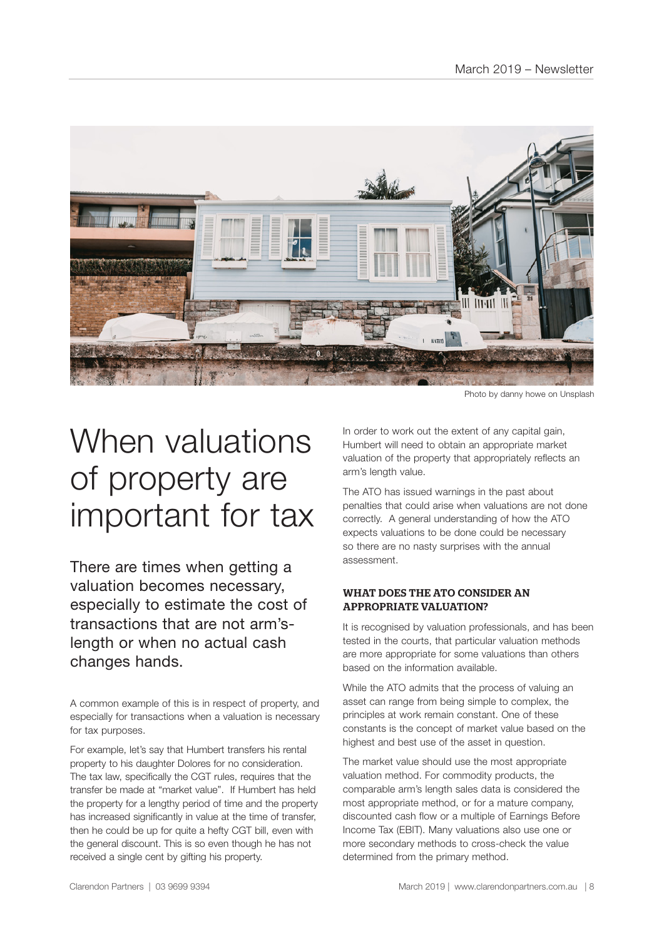

Photo by danny howe on Unsplash

# When valuations of property are important for tax

There are times when getting a valuation becomes necessary, especially to estimate the cost of transactions that are not arm'slength or when no actual cash changes hands.

A common example of this is in respect of property, and especially for transactions when a valuation is necessary for tax purposes.

For example, let's say that Humbert transfers his rental property to his daughter Dolores for no consideration. The tax law, specifically the CGT rules, requires that the transfer be made at "market value". If Humbert has held the property for a lengthy period of time and the property has increased significantly in value at the time of transfer. then he could be up for quite a hefty CGT bill, even with the general discount. This is so even though he has not received a single cent by gifting his property.

In order to work out the extent of any capital gain, Humbert will need to obtain an appropriate market valuation of the property that appropriately reflects an arm's length value.

The ATO has issued warnings in the past about penalties that could arise when valuations are not done correctly. A general understanding of how the ATO expects valuations to be done could be necessary so there are no nasty surprises with the annual assessment.

### WHAT DOES THE ATO CONSIDER AN APPROPRIATE VALUATION?

It is recognised by valuation professionals, and has been tested in the courts, that particular valuation methods are more appropriate for some valuations than others based on the information available.

While the ATO admits that the process of valuing an asset can range from being simple to complex, the principles at work remain constant. One of these constants is the concept of market value based on the highest and best use of the asset in question.

The market value should use the most appropriate valuation method. For commodity products, the comparable arm's length sales data is considered the most appropriate method, or for a mature company, discounted cash flow or a multiple of Earnings Before Income Tax (EBIT). Many valuations also use one or more secondary methods to cross-check the value determined from the primary method.